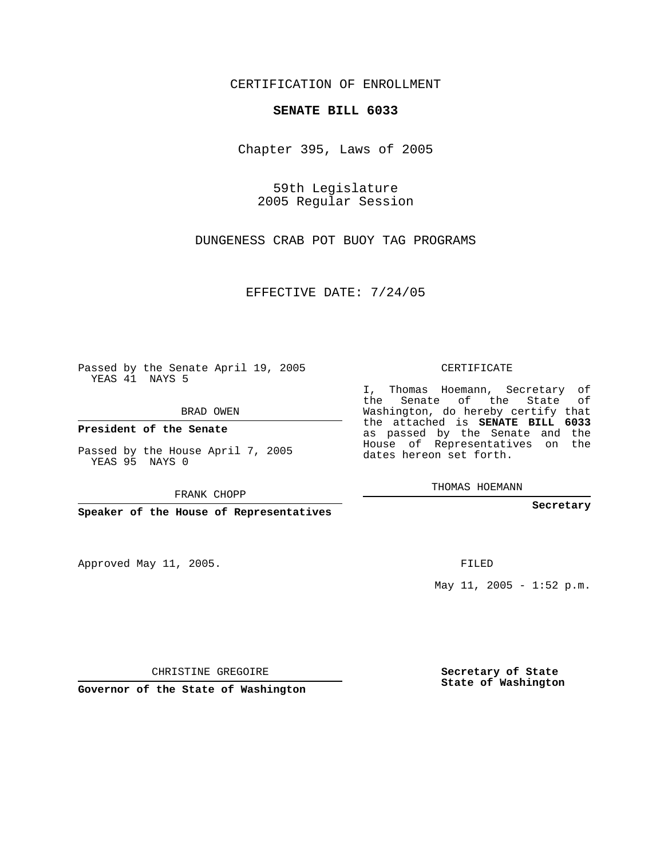CERTIFICATION OF ENROLLMENT

## **SENATE BILL 6033**

Chapter 395, Laws of 2005

59th Legislature 2005 Regular Session

DUNGENESS CRAB POT BUOY TAG PROGRAMS

EFFECTIVE DATE: 7/24/05

Passed by the Senate April 19, 2005 YEAS 41 NAYS 5

BRAD OWEN

**President of the Senate**

Passed by the House April 7, 2005 YEAS 95 NAYS 0

FRANK CHOPP

**Speaker of the House of Representatives**

Approved May 11, 2005.

CERTIFICATE

I, Thomas Hoemann, Secretary of the Senate of the State of Washington, do hereby certify that the attached is **SENATE BILL 6033** as passed by the Senate and the House of Representatives on the dates hereon set forth.

THOMAS HOEMANN

**Secretary**

FILED

May  $11$ ,  $2005 - 1:52 \text{ p.m.}$ 

CHRISTINE GREGOIRE

**Governor of the State of Washington**

**Secretary of State State of Washington**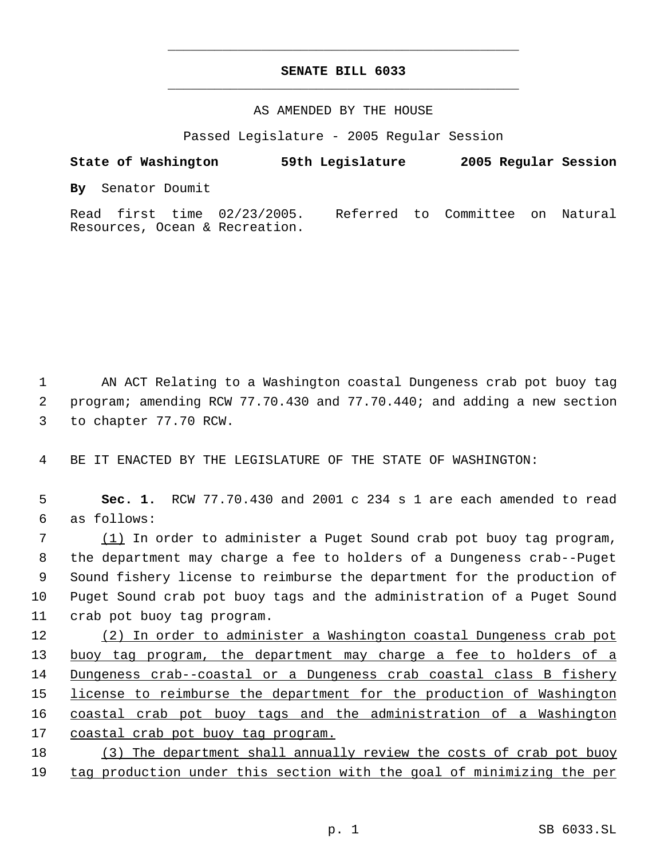## **SENATE BILL 6033** \_\_\_\_\_\_\_\_\_\_\_\_\_\_\_\_\_\_\_\_\_\_\_\_\_\_\_\_\_\_\_\_\_\_\_\_\_\_\_\_\_\_\_\_\_

\_\_\_\_\_\_\_\_\_\_\_\_\_\_\_\_\_\_\_\_\_\_\_\_\_\_\_\_\_\_\_\_\_\_\_\_\_\_\_\_\_\_\_\_\_

## AS AMENDED BY THE HOUSE

Passed Legislature - 2005 Regular Session

**State of Washington 59th Legislature 2005 Regular Session By** Senator Doumit Read first time 02/23/2005. Referred to Committee on Natural

 1 AN ACT Relating to a Washington coastal Dungeness crab pot buoy tag 2 program; amending RCW 77.70.430 and 77.70.440; and adding a new section 3 to chapter 77.70 RCW.

4 BE IT ENACTED BY THE LEGISLATURE OF THE STATE OF WASHINGTON:

Resources, Ocean & Recreation.

 5 **Sec. 1.** RCW 77.70.430 and 2001 c 234 s 1 are each amended to read 6 as follows:

 (1) In order to administer a Puget Sound crab pot buoy tag program, the department may charge a fee to holders of a Dungeness crab--Puget Sound fishery license to reimburse the department for the production of Puget Sound crab pot buoy tags and the administration of a Puget Sound crab pot buoy tag program.

12 (2) In order to administer a Washington coastal Dungeness crab pot 13 buoy tag program, the department may charge a fee to holders of a 14 Dungeness crab--coastal or a Dungeness crab coastal class B fishery 15 license to reimburse the department for the production of Washington 16 coastal crab pot buoy tags and the administration of a Washington 17 coastal crab pot buoy tag program.

18 (3) The department shall annually review the costs of crab pot buoy 19 tag production under this section with the goal of minimizing the per